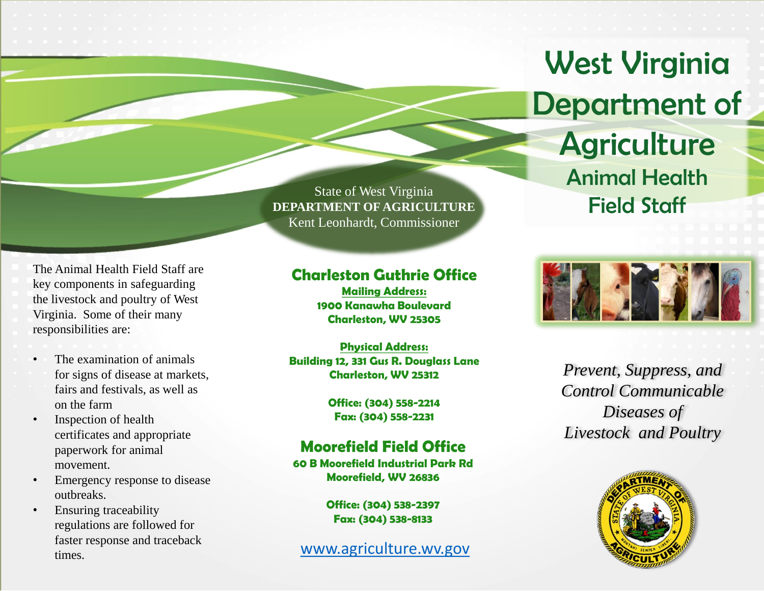## West Virginia Department of

**Agriculture** Animal Health Field Staff



*Prevent, Suppress, and Control Communicable Diseases of Livestock and Poultry*



State of West Virginia **DEPARTMENT OF AGRICULTURE** Kent Leonhardt, Commissioner

## **Charleston Guthrie Office**

**Mailing Address: 1900 Kanawha Boulevard Charleston, WV 25305**

**Physical Address: Building 12, 331 Gus R. Douglass Lane Charleston, WV 25312**

> **Office: (304) 558-2214 Fax: (304) 558-2231**

## **Moorefield Field Office**

**60 B Moorefield Industrial Park Rd Moorefield, WV 26836**

> **Office: (304) 538-2397 Fax: (304) 538-8133**

[www.agriculture.wv.gov](http://www.agriculture.wv.gov/)

The Animal Health Field Staff are key components in safeguarding the livestock and poultry of West Virginia. Some of their many responsibilities are:

- The examination of animals for signs of disease at markets, fairs and festivals, as well as on the farm
- Inspection of health certificates and appropriate paperwork for animal movement.
- Emergency response to disease outbreaks.
- Ensuring traceability regulations are followed for faster response and traceback times.